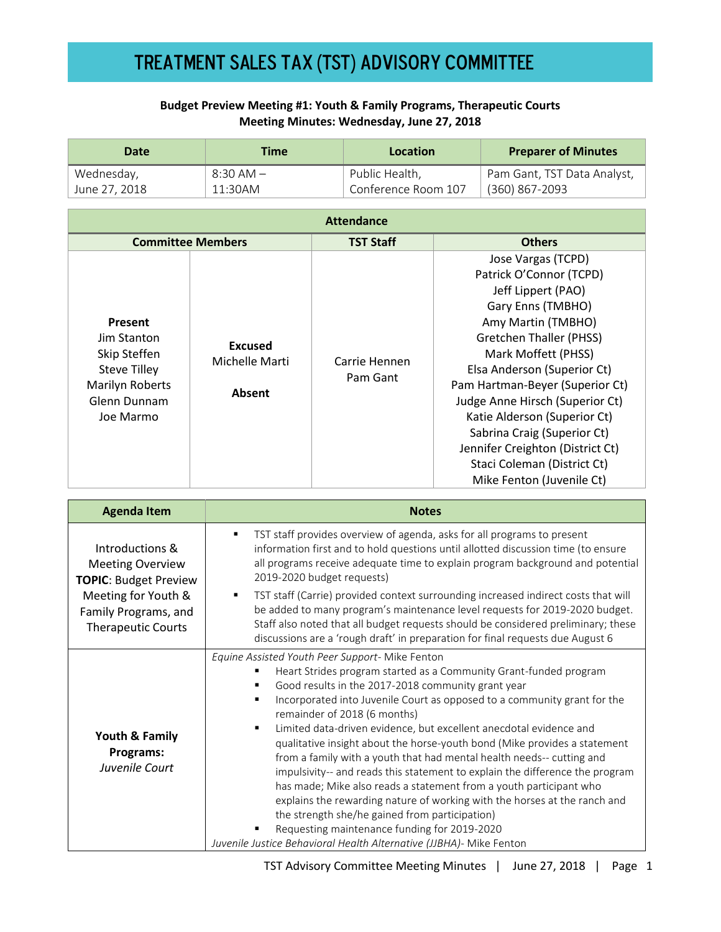## **Budget Preview Meeting #1: Youth & Family Programs, Therapeutic Courts Meeting Minutes: Wednesday, June 27, 2018**

| <b>Date</b>                                                         | <b>Time</b>                                |                           | <b>Location</b>                 |                                  | <b>Preparer of Minutes</b>  |
|---------------------------------------------------------------------|--------------------------------------------|---------------------------|---------------------------------|----------------------------------|-----------------------------|
| Wednesday,                                                          | $8:30$ AM $-$                              |                           | Public Health,                  |                                  | Pam Gant, TST Data Analyst, |
| June 27, 2018                                                       | 11:30AM                                    |                           | Conference Room 107             |                                  | (360) 867-2093              |
| <b>Attendance</b>                                                   |                                            |                           |                                 |                                  |                             |
| <b>Committee Members</b>                                            |                                            |                           | <b>TST Staff</b>                |                                  | <b>Others</b>               |
|                                                                     | <b>Excused</b><br>Michelle Marti<br>Absent |                           |                                 | Jose Vargas (TCPD)               |                             |
|                                                                     |                                            | Carrie Hennen<br>Pam Gant | Patrick O'Connor (TCPD)         |                                  |                             |
|                                                                     |                                            |                           | Jeff Lippert (PAO)              |                                  |                             |
|                                                                     |                                            |                           | Gary Enns (TMBHO)               |                                  |                             |
| Present                                                             |                                            |                           | Amy Martin (TMBHO)              |                                  |                             |
| Jim Stanton                                                         |                                            |                           | <b>Gretchen Thaller (PHSS)</b>  |                                  |                             |
| Skip Steffen                                                        |                                            |                           | Mark Moffett (PHSS)             |                                  |                             |
| <b>Steve Tilley</b><br>Marilyn Roberts<br>Glenn Dunnam<br>Joe Marmo |                                            |                           | Elsa Anderson (Superior Ct)     |                                  |                             |
|                                                                     |                                            |                           | Pam Hartman-Beyer (Superior Ct) |                                  |                             |
|                                                                     |                                            |                           | Judge Anne Hirsch (Superior Ct) |                                  |                             |
|                                                                     |                                            |                           |                                 | Katie Alderson (Superior Ct)     |                             |
|                                                                     |                                            |                           | Sabrina Craig (Superior Ct)     |                                  |                             |
|                                                                     |                                            |                           |                                 | Jennifer Creighton (District Ct) |                             |
|                                                                     |                                            |                           |                                 | Staci Coleman (District Ct)      |                             |
|                                                                     |                                            |                           | Mike Fenton (Juvenile Ct)       |                                  |                             |

| <b>Agenda Item</b>                                                         | <b>Notes</b>                                                                                                                                                                                                                                                                                                                                                                                                                                                                                                                                                                                                                                                                                                                                                                                                                                                                                                                                       |  |  |
|----------------------------------------------------------------------------|----------------------------------------------------------------------------------------------------------------------------------------------------------------------------------------------------------------------------------------------------------------------------------------------------------------------------------------------------------------------------------------------------------------------------------------------------------------------------------------------------------------------------------------------------------------------------------------------------------------------------------------------------------------------------------------------------------------------------------------------------------------------------------------------------------------------------------------------------------------------------------------------------------------------------------------------------|--|--|
| Introductions &<br><b>Meeting Overview</b><br><b>TOPIC: Budget Preview</b> | TST staff provides overview of agenda, asks for all programs to present<br>٠<br>information first and to hold questions until allotted discussion time (to ensure<br>all programs receive adequate time to explain program background and potential<br>2019-2020 budget requests)                                                                                                                                                                                                                                                                                                                                                                                                                                                                                                                                                                                                                                                                  |  |  |
| Meeting for Youth &<br>Family Programs, and<br><b>Therapeutic Courts</b>   | TST staff (Carrie) provided context surrounding increased indirect costs that will<br>٠<br>be added to many program's maintenance level requests for 2019-2020 budget.<br>Staff also noted that all budget requests should be considered preliminary; these<br>discussions are a 'rough draft' in preparation for final requests due August 6                                                                                                                                                                                                                                                                                                                                                                                                                                                                                                                                                                                                      |  |  |
| Youth & Family<br>Programs:<br>Juvenile Court                              | Equine Assisted Youth Peer Support- Mike Fenton<br>Heart Strides program started as a Community Grant-funded program<br>٠<br>Good results in the 2017-2018 community grant year<br>٠<br>Incorporated into Juvenile Court as opposed to a community grant for the<br>٠<br>remainder of 2018 (6 months)<br>Limited data-driven evidence, but excellent anecdotal evidence and<br>٠<br>qualitative insight about the horse-youth bond (Mike provides a statement<br>from a family with a youth that had mental health needs-- cutting and<br>impulsivity-- and reads this statement to explain the difference the program<br>has made; Mike also reads a statement from a youth participant who<br>explains the rewarding nature of working with the horses at the ranch and<br>the strength she/he gained from participation)<br>Requesting maintenance funding for 2019-2020<br>Juvenile Justice Behavioral Health Alternative (JJBHA)- Mike Fenton |  |  |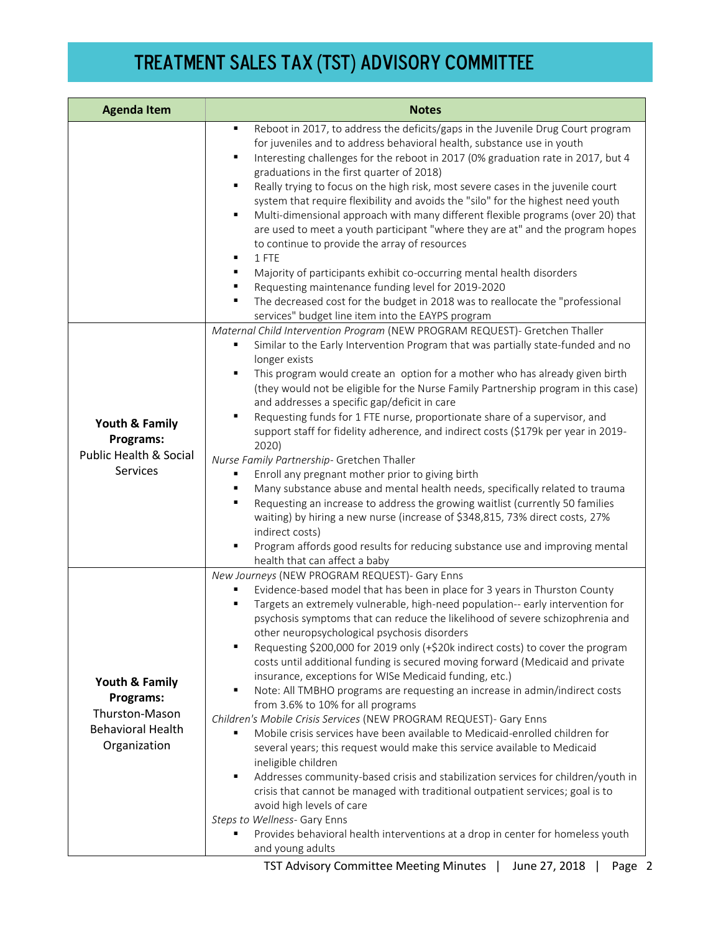| <b>Agenda Item</b>                                                                        | <b>Notes</b>                                                                                                                                                                                                                                                                                                                                                                                                                                                                                                                                                                                                                                                                                                                                                                                                                                                                                                                                                                                                                                                                                                                                                                                                                                                                                                                    |  |  |
|-------------------------------------------------------------------------------------------|---------------------------------------------------------------------------------------------------------------------------------------------------------------------------------------------------------------------------------------------------------------------------------------------------------------------------------------------------------------------------------------------------------------------------------------------------------------------------------------------------------------------------------------------------------------------------------------------------------------------------------------------------------------------------------------------------------------------------------------------------------------------------------------------------------------------------------------------------------------------------------------------------------------------------------------------------------------------------------------------------------------------------------------------------------------------------------------------------------------------------------------------------------------------------------------------------------------------------------------------------------------------------------------------------------------------------------|--|--|
|                                                                                           | Reboot in 2017, to address the deficits/gaps in the Juvenile Drug Court program<br>٠<br>for juveniles and to address behavioral health, substance use in youth<br>Interesting challenges for the reboot in 2017 (0% graduation rate in 2017, but 4<br>٠<br>graduations in the first quarter of 2018)<br>Really trying to focus on the high risk, most severe cases in the juvenile court<br>$\blacksquare$<br>system that require flexibility and avoids the "silo" for the highest need youth<br>Multi-dimensional approach with many different flexible programs (over 20) that<br>$\blacksquare$<br>are used to meet a youth participant "where they are at" and the program hopes<br>to continue to provide the array of resources<br>1 FTE<br>٠<br>Majority of participants exhibit co-occurring mental health disorders<br>٠<br>Requesting maintenance funding level for 2019-2020<br>٠<br>The decreased cost for the budget in 2018 was to reallocate the "professional<br>٠<br>services" budget line item into the EAYPS program                                                                                                                                                                                                                                                                                        |  |  |
| Youth & Family<br>Programs:<br><b>Public Health &amp; Social</b><br>Services              | Maternal Child Intervention Program (NEW PROGRAM REQUEST)- Gretchen Thaller<br>Similar to the Early Intervention Program that was partially state-funded and no<br>٠<br>longer exists<br>This program would create an option for a mother who has already given birth<br>٠<br>(they would not be eligible for the Nurse Family Partnership program in this case)<br>and addresses a specific gap/deficit in care<br>Requesting funds for 1 FTE nurse, proportionate share of a supervisor, and<br>٠<br>support staff for fidelity adherence, and indirect costs (\$179k per year in 2019-<br>2020)<br>Nurse Family Partnership- Gretchen Thaller<br>Enroll any pregnant mother prior to giving birth<br>Many substance abuse and mental health needs, specifically related to trauma<br>٠<br>Requesting an increase to address the growing waitlist (currently 50 families<br>٠<br>waiting) by hiring a new nurse (increase of \$348,815, 73% direct costs, 27%<br>indirect costs)<br>٠<br>Program affords good results for reducing substance use and improving mental<br>health that can affect a baby                                                                                                                                                                                                                        |  |  |
| Youth & Family<br>Programs:<br>Thurston-Mason<br><b>Behavioral Health</b><br>Organization | New Journeys (NEW PROGRAM REQUEST)- Gary Enns<br>Evidence-based model that has been in place for 3 years in Thurston County<br>٠<br>Targets an extremely vulnerable, high-need population-- early intervention for<br>٠<br>psychosis symptoms that can reduce the likelihood of severe schizophrenia and<br>other neuropsychological psychosis disorders<br>Requesting \$200,000 for 2019 only (+\$20k indirect costs) to cover the program<br>٠<br>costs until additional funding is secured moving forward (Medicaid and private<br>insurance, exceptions for WISe Medicaid funding, etc.)<br>Note: All TMBHO programs are requesting an increase in admin/indirect costs<br>٠<br>from 3.6% to 10% for all programs<br>Children's Mobile Crisis Services (NEW PROGRAM REQUEST)- Gary Enns<br>Mobile crisis services have been available to Medicaid-enrolled children for<br>several years; this request would make this service available to Medicaid<br>ineligible children<br>Addresses community-based crisis and stabilization services for children/youth in<br>٠<br>crisis that cannot be managed with traditional outpatient services; goal is to<br>avoid high levels of care<br>Steps to Wellness- Gary Enns<br>Provides behavioral health interventions at a drop in center for homeless youth<br>and young adults |  |  |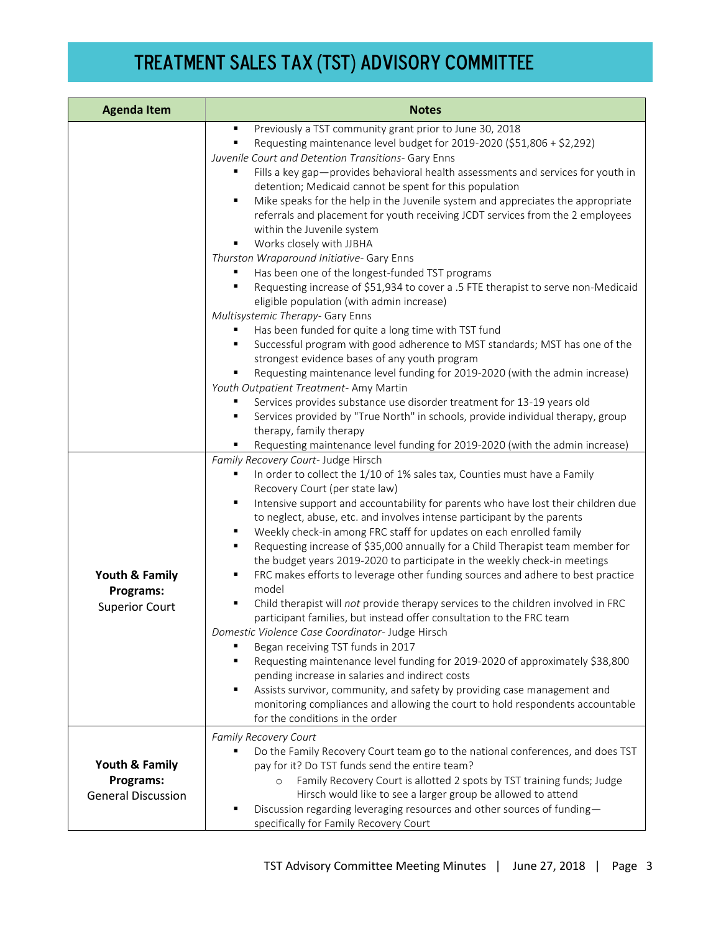| <b>Agenda Item</b>                                       | <b>Notes</b>                                                                                                                                                                                                                                                                                                                                                                                                                                                                                                                                                                                                                                                                                                                                                                                                                                                                                                                                                                                                                                                                                                                                                                                                                                                                                                                                                                                                                                                                                                                                  |  |
|----------------------------------------------------------|-----------------------------------------------------------------------------------------------------------------------------------------------------------------------------------------------------------------------------------------------------------------------------------------------------------------------------------------------------------------------------------------------------------------------------------------------------------------------------------------------------------------------------------------------------------------------------------------------------------------------------------------------------------------------------------------------------------------------------------------------------------------------------------------------------------------------------------------------------------------------------------------------------------------------------------------------------------------------------------------------------------------------------------------------------------------------------------------------------------------------------------------------------------------------------------------------------------------------------------------------------------------------------------------------------------------------------------------------------------------------------------------------------------------------------------------------------------------------------------------------------------------------------------------------|--|
|                                                          | Previously a TST community grant prior to June 30, 2018<br>٠<br>Requesting maintenance level budget for 2019-2020 (\$51,806 + \$2,292)<br>٠<br>Juvenile Court and Detention Transitions- Gary Enns<br>Fills a key gap-provides behavioral health assessments and services for youth in<br>detention; Medicaid cannot be spent for this population<br>$\blacksquare$<br>Mike speaks for the help in the Juvenile system and appreciates the appropriate<br>referrals and placement for youth receiving JCDT services from the 2 employees<br>within the Juvenile system<br>Works closely with JJBHA<br>٠<br>Thurston Wraparound Initiative- Gary Enns<br>Has been one of the longest-funded TST programs<br>Requesting increase of \$51,934 to cover a .5 FTE therapist to serve non-Medicaid<br>$\blacksquare$<br>eligible population (with admin increase)<br>Multisystemic Therapy- Gary Enns<br>Has been funded for quite a long time with TST fund<br>Successful program with good adherence to MST standards; MST has one of the<br>٠<br>strongest evidence bases of any youth program<br>Requesting maintenance level funding for 2019-2020 (with the admin increase)<br>Youth Outpatient Treatment-Amy Martin<br>Services provides substance use disorder treatment for 13-19 years old<br>Services provided by "True North" in schools, provide individual therapy, group<br>٠<br>therapy, family therapy<br>Requesting maintenance level funding for 2019-2020 (with the admin increase)<br>٠<br>Family Recovery Court- Judge Hirsch |  |
| Youth & Family<br>Programs:<br><b>Superior Court</b>     | In order to collect the 1/10 of 1% sales tax, Counties must have a Family<br>٠<br>Recovery Court (per state law)<br>Intensive support and accountability for parents who have lost their children due<br>$\blacksquare$<br>to neglect, abuse, etc. and involves intense participant by the parents<br>Weekly check-in among FRC staff for updates on each enrolled family<br>٠<br>Requesting increase of \$35,000 annually for a Child Therapist team member for<br>٠<br>the budget years 2019-2020 to participate in the weekly check-in meetings<br>FRC makes efforts to leverage other funding sources and adhere to best practice<br>٠<br>model<br>٠<br>Child therapist will not provide therapy services to the children involved in FRC<br>participant families, but instead offer consultation to the FRC team<br>Domestic Violence Case Coordinator- Judge Hirsch<br>Began receiving TST funds in 2017<br>Requesting maintenance level funding for 2019-2020 of approximately \$38,800<br>٠<br>pending increase in salaries and indirect costs<br>Assists survivor, community, and safety by providing case management and<br>٠<br>monitoring compliances and allowing the court to hold respondents accountable<br>for the conditions in the order                                                                                                                                                                                                                                                                                   |  |
| Youth & Family<br>Programs:<br><b>General Discussion</b> | Family Recovery Court<br>Do the Family Recovery Court team go to the national conferences, and does TST<br>٠<br>pay for it? Do TST funds send the entire team?<br>Family Recovery Court is allotted 2 spots by TST training funds; Judge<br>$\circ$<br>Hirsch would like to see a larger group be allowed to attend<br>Discussion regarding leveraging resources and other sources of funding-<br>٠<br>specifically for Family Recovery Court                                                                                                                                                                                                                                                                                                                                                                                                                                                                                                                                                                                                                                                                                                                                                                                                                                                                                                                                                                                                                                                                                                 |  |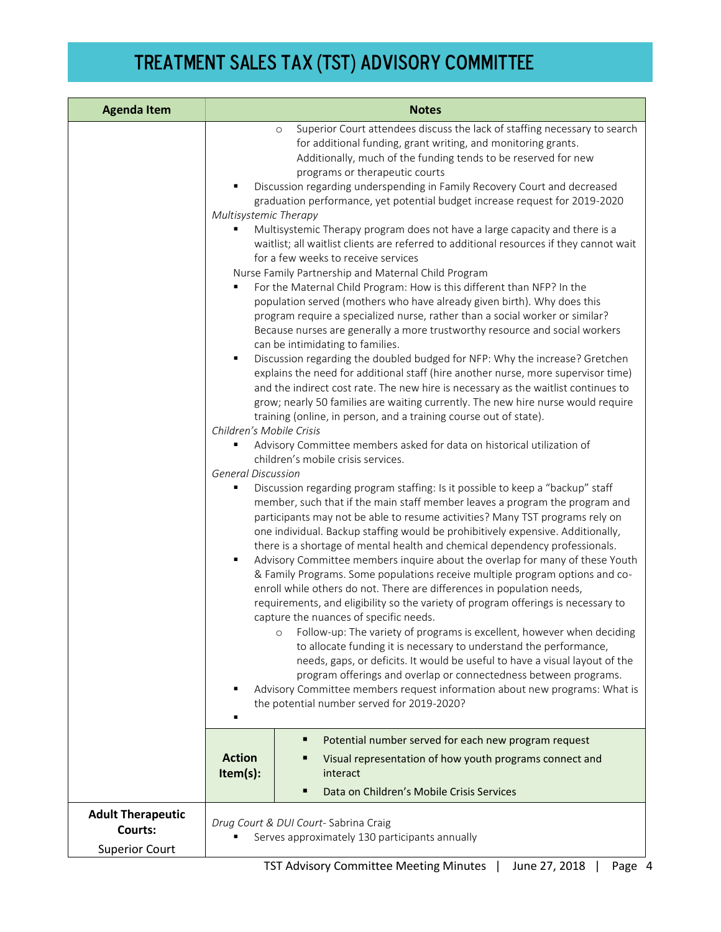| <b>Agenda Item</b>                                           | <b>Notes</b>                                                                                                                                                                                                                                                                                                                                                                                                                                                                                                                                                                                                                                                                                                                                                                                                                                                                                                                                                                                                                                                                                                                                                                                                                                                                                                                                                                                                                                                                                                                                                                                                                                                                                                                                                                                                                                                                                                                                                                                                                                                                                                                                                                                                                                                                                                                                                                                                                                                                                                                                                                                                                                                                                                                                                                                                                                                                                                                                                                                 |  |  |
|--------------------------------------------------------------|----------------------------------------------------------------------------------------------------------------------------------------------------------------------------------------------------------------------------------------------------------------------------------------------------------------------------------------------------------------------------------------------------------------------------------------------------------------------------------------------------------------------------------------------------------------------------------------------------------------------------------------------------------------------------------------------------------------------------------------------------------------------------------------------------------------------------------------------------------------------------------------------------------------------------------------------------------------------------------------------------------------------------------------------------------------------------------------------------------------------------------------------------------------------------------------------------------------------------------------------------------------------------------------------------------------------------------------------------------------------------------------------------------------------------------------------------------------------------------------------------------------------------------------------------------------------------------------------------------------------------------------------------------------------------------------------------------------------------------------------------------------------------------------------------------------------------------------------------------------------------------------------------------------------------------------------------------------------------------------------------------------------------------------------------------------------------------------------------------------------------------------------------------------------------------------------------------------------------------------------------------------------------------------------------------------------------------------------------------------------------------------------------------------------------------------------------------------------------------------------------------------------------------------------------------------------------------------------------------------------------------------------------------------------------------------------------------------------------------------------------------------------------------------------------------------------------------------------------------------------------------------------------------------------------------------------------------------------------------------------|--|--|
|                                                              | Superior Court attendees discuss the lack of staffing necessary to search<br>$\circ$<br>for additional funding, grant writing, and monitoring grants.<br>Additionally, much of the funding tends to be reserved for new<br>programs or therapeutic courts<br>Discussion regarding underspending in Family Recovery Court and decreased<br>graduation performance, yet potential budget increase request for 2019-2020<br>Multisystemic Therapy<br>Multisystemic Therapy program does not have a large capacity and there is a<br>waitlist; all waitlist clients are referred to additional resources if they cannot wait<br>for a few weeks to receive services<br>Nurse Family Partnership and Maternal Child Program<br>For the Maternal Child Program: How is this different than NFP? In the<br>population served (mothers who have already given birth). Why does this<br>program require a specialized nurse, rather than a social worker or similar?<br>Because nurses are generally a more trustworthy resource and social workers<br>can be intimidating to families.<br>Discussion regarding the doubled budged for NFP: Why the increase? Gretchen<br>٠<br>explains the need for additional staff (hire another nurse, more supervisor time)<br>and the indirect cost rate. The new hire is necessary as the waitlist continues to<br>grow; nearly 50 families are waiting currently. The new hire nurse would require<br>training (online, in person, and a training course out of state).<br>Children's Mobile Crisis<br>Advisory Committee members asked for data on historical utilization of<br>children's mobile crisis services.<br><b>General Discussion</b><br>Discussion regarding program staffing: Is it possible to keep a "backup" staff<br>п<br>member, such that if the main staff member leaves a program the program and<br>participants may not be able to resume activities? Many TST programs rely on<br>one individual. Backup staffing would be prohibitively expensive. Additionally,<br>there is a shortage of mental health and chemical dependency professionals.<br>٠<br>Advisory Committee members inquire about the overlap for many of these Youth<br>& Family Programs. Some populations receive multiple program options and co-<br>enroll while others do not. There are differences in population needs,<br>requirements, and eligibility so the variety of program offerings is necessary to<br>capture the nuances of specific needs.<br>Follow-up: The variety of programs is excellent, however when deciding<br>$\circ$<br>to allocate funding it is necessary to understand the performance,<br>needs, gaps, or deficits. It would be useful to have a visual layout of the<br>program offerings and overlap or connectedness between programs.<br>Advisory Committee members request information about new programs: What is<br>the potential number served for 2019-2020?<br>Potential number served for each new program request<br>٠ |  |  |
|                                                              | <b>Action</b><br>Visual representation of how youth programs connect and<br>Item(s):<br>interact<br>Data on Children's Mobile Crisis Services<br>п                                                                                                                                                                                                                                                                                                                                                                                                                                                                                                                                                                                                                                                                                                                                                                                                                                                                                                                                                                                                                                                                                                                                                                                                                                                                                                                                                                                                                                                                                                                                                                                                                                                                                                                                                                                                                                                                                                                                                                                                                                                                                                                                                                                                                                                                                                                                                                                                                                                                                                                                                                                                                                                                                                                                                                                                                                           |  |  |
| <b>Adult Therapeutic</b><br>Courts:<br><b>Superior Court</b> | Drug Court & DUI Court-Sabrina Craig<br>Serves approximately 130 participants annually                                                                                                                                                                                                                                                                                                                                                                                                                                                                                                                                                                                                                                                                                                                                                                                                                                                                                                                                                                                                                                                                                                                                                                                                                                                                                                                                                                                                                                                                                                                                                                                                                                                                                                                                                                                                                                                                                                                                                                                                                                                                                                                                                                                                                                                                                                                                                                                                                                                                                                                                                                                                                                                                                                                                                                                                                                                                                                       |  |  |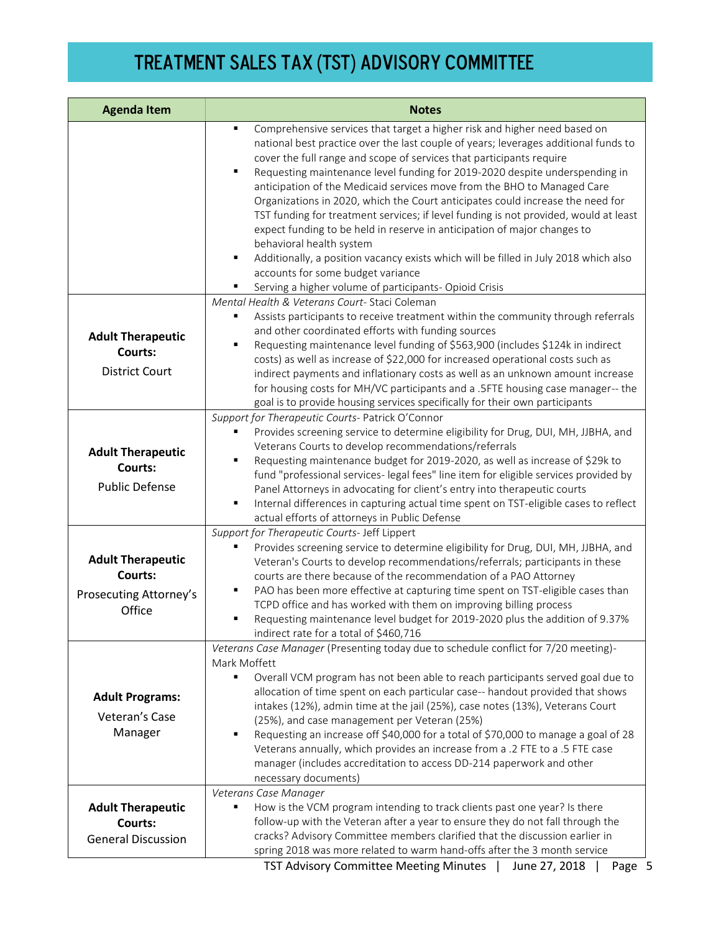| <b>Agenda Item</b>                                                      | <b>Notes</b>                                                                                                                                                                                                                                                                                                                                                                                                                                                                                                                                                                                                                                                                                                                                                                                                                                                                                    |  |
|-------------------------------------------------------------------------|-------------------------------------------------------------------------------------------------------------------------------------------------------------------------------------------------------------------------------------------------------------------------------------------------------------------------------------------------------------------------------------------------------------------------------------------------------------------------------------------------------------------------------------------------------------------------------------------------------------------------------------------------------------------------------------------------------------------------------------------------------------------------------------------------------------------------------------------------------------------------------------------------|--|
|                                                                         | Comprehensive services that target a higher risk and higher need based on<br>٠<br>national best practice over the last couple of years; leverages additional funds to<br>cover the full range and scope of services that participants require<br>٠<br>Requesting maintenance level funding for 2019-2020 despite underspending in<br>anticipation of the Medicaid services move from the BHO to Managed Care<br>Organizations in 2020, which the Court anticipates could increase the need for<br>TST funding for treatment services; if level funding is not provided, would at least<br>expect funding to be held in reserve in anticipation of major changes to<br>behavioral health system<br>Additionally, a position vacancy exists which will be filled in July 2018 which also<br>٠<br>accounts for some budget variance<br>Serving a higher volume of participants- Opioid Crisis<br>٠ |  |
|                                                                         | Mental Health & Veterans Court-Staci Coleman                                                                                                                                                                                                                                                                                                                                                                                                                                                                                                                                                                                                                                                                                                                                                                                                                                                    |  |
| <b>Adult Therapeutic</b><br>Courts:<br><b>District Court</b>            | Assists participants to receive treatment within the community through referrals<br>and other coordinated efforts with funding sources<br>Requesting maintenance level funding of \$563,900 (includes \$124k in indirect<br>٠<br>costs) as well as increase of \$22,000 for increased operational costs such as<br>indirect payments and inflationary costs as well as an unknown amount increase<br>for housing costs for MH/VC participants and a .5FTE housing case manager-- the<br>goal is to provide housing services specifically for their own participants                                                                                                                                                                                                                                                                                                                             |  |
|                                                                         | Support for Therapeutic Courts- Patrick O'Connor                                                                                                                                                                                                                                                                                                                                                                                                                                                                                                                                                                                                                                                                                                                                                                                                                                                |  |
| <b>Adult Therapeutic</b><br><b>Courts:</b><br><b>Public Defense</b>     | Provides screening service to determine eligibility for Drug, DUI, MH, JJBHA, and<br>Veterans Courts to develop recommendations/referrals<br>Requesting maintenance budget for 2019-2020, as well as increase of \$29k to<br>٠<br>fund "professional services- legal fees" line item for eligible services provided by<br>Panel Attorneys in advocating for client's entry into therapeutic courts<br>Internal differences in capturing actual time spent on TST-eligible cases to reflect<br>٠                                                                                                                                                                                                                                                                                                                                                                                                 |  |
|                                                                         | actual efforts of attorneys in Public Defense                                                                                                                                                                                                                                                                                                                                                                                                                                                                                                                                                                                                                                                                                                                                                                                                                                                   |  |
| <b>Adult Therapeutic</b><br>Courts:<br>Prosecuting Attorney's<br>Office | Support for Therapeutic Courts- Jeff Lippert<br>Provides screening service to determine eligibility for Drug, DUI, MH, JJBHA, and<br>Veteran's Courts to develop recommendations/referrals; participants in these<br>courts are there because of the recommendation of a PAO Attorney<br>PAO has been more effective at capturing time spent on TST-eligible cases than<br>٠<br>TCPD office and has worked with them on improving billing process<br>Requesting maintenance level budget for 2019-2020 plus the addition of 9.37%<br>indirect rate for a total of \$460,716                                                                                                                                                                                                                                                                                                                     |  |
| <b>Adult Programs:</b><br>Veteran's Case<br>Manager                     | Veterans Case Manager (Presenting today due to schedule conflict for 7/20 meeting)-<br>Mark Moffett<br>Overall VCM program has not been able to reach participants served goal due to<br>allocation of time spent on each particular case-- handout provided that shows<br>intakes (12%), admin time at the jail (25%), case notes (13%), Veterans Court<br>(25%), and case management per Veteran (25%)<br>Requesting an increase off \$40,000 for a total of \$70,000 to manage a goal of 28<br>٠<br>Veterans annually, which provides an increase from a .2 FTE to a .5 FTE case<br>manager (includes accreditation to access DD-214 paperwork and other<br>necessary documents)                                                                                                                                                                                                             |  |
|                                                                         | Veterans Case Manager                                                                                                                                                                                                                                                                                                                                                                                                                                                                                                                                                                                                                                                                                                                                                                                                                                                                           |  |
| <b>Adult Therapeutic</b><br><b>Courts:</b><br><b>General Discussion</b> | How is the VCM program intending to track clients past one year? Is there<br>follow-up with the Veteran after a year to ensure they do not fall through the<br>cracks? Advisory Committee members clarified that the discussion earlier in<br>spring 2018 was more related to warm hand-offs after the 3 month service                                                                                                                                                                                                                                                                                                                                                                                                                                                                                                                                                                          |  |